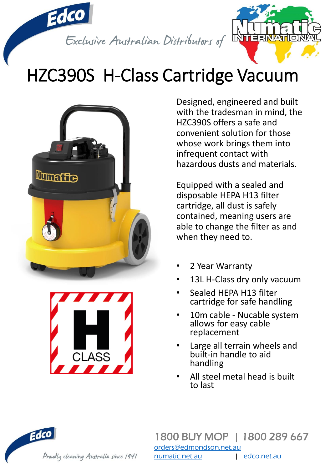

## HZC390S H-Class Cartridge Vacuum





Designed, engineered and built with the tradesman in mind, the HZC390S offers a safe and convenient solution for those whose work brings them into infrequent contact with hazardous dusts and materials.

Equipped with a sealed and disposable HEPA H13 filter cartridge, all dust is safely contained, meaning users are able to change the filter as and when they need to.

- 2 Year Warranty
- 13L H-Class dry only vacuum
- Sealed HEPA H13 filter cartridge for safe handling
- 10m cable Nucable system allows for easy cable replacement
- Large all terrain wheels and built-in handle to aid handling
- All steel metal head is built to last

Edco Proudly cleaning Australia since 1941

1800 BUY MOP | 1800 289 667 [orders@edmondson.net.au](mailto:orders@edmondson.net.au) [numatic.net.au](http://www.numatic.net.au/) | [edco.net.au](http://www.edco.net.au/)